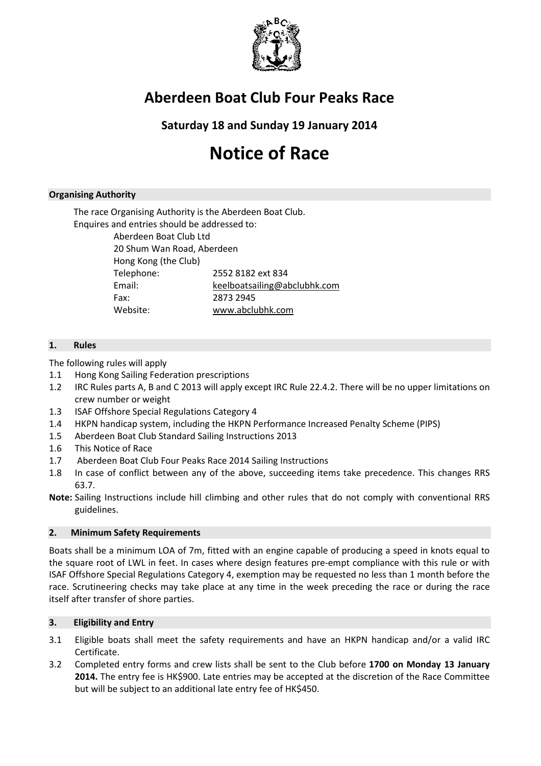

## Aberdeen Boat Club Four Peaks Race

Saturday 18 and Sunday 19 January 2014

# Notice of Race

## Organising Authority

The race Organising Authority is the Aberdeen Boat Club. Enquires and entries should be addressed to:

> Aberdeen Boat Club Ltd 20 Shum Wan Road, Aberdeen Hong Kong (the Club) Telephone: 2552 8182 ext 834 Email: keelboatsailing@abclubhk.com Fax: 2873 2945 Website: www.abclubhk.com

## 1. Rules

The following rules will apply

- 1.1 Hong Kong Sailing Federation prescriptions
- 1.2 IRC Rules parts A, B and C 2013 will apply except IRC Rule 22.4.2. There will be no upper limitations on crew number or weight
- 1.3 ISAF Offshore Special Regulations Category 4
- 1.4 HKPN handicap system, including the HKPN Performance Increased Penalty Scheme (PIPS)
- 1.5 Aberdeen Boat Club Standard Sailing Instructions 2013
- 1.6 This Notice of Race
- 1.7 Aberdeen Boat Club Four Peaks Race 2014 Sailing Instructions
- 1.8 In case of conflict between any of the above, succeeding items take precedence. This changes RRS 63.7.
- Note: Sailing Instructions include hill climbing and other rules that do not comply with conventional RRS guidelines.

## 2. Minimum Safety Requirements

Boats shall be a minimum LOA of 7m, fitted with an engine capable of producing a speed in knots equal to the square root of LWL in feet. In cases where design features pre-empt compliance with this rule or with ISAF Offshore Special Regulations Category 4, exemption may be requested no less than 1 month before the race. Scrutineering checks may take place at any time in the week preceding the race or during the race itself after transfer of shore parties.

## 3. Eligibility and Entry

- 3.1 Eligible boats shall meet the safety requirements and have an HKPN handicap and/or a valid IRC Certificate.
- 3.2 Completed entry forms and crew lists shall be sent to the Club before 1700 on Monday 13 January 2014. The entry fee is HK\$900. Late entries may be accepted at the discretion of the Race Committee but will be subject to an additional late entry fee of HK\$450.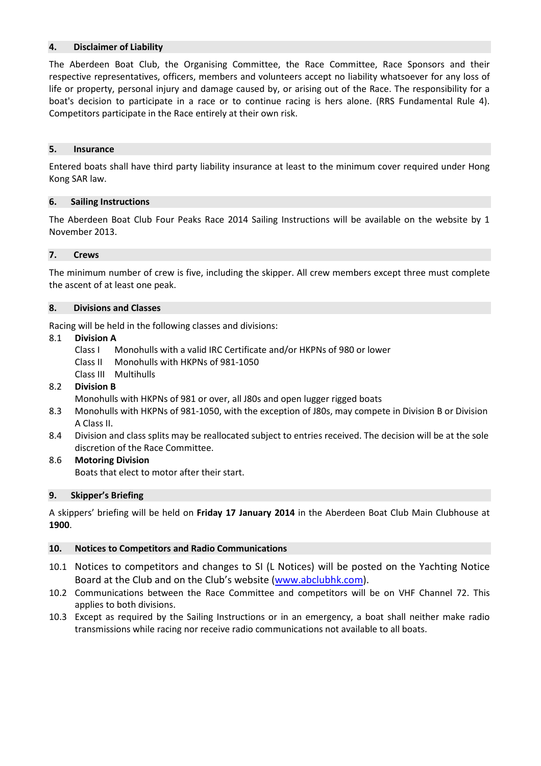## 4. Disclaimer of Liability

The Aberdeen Boat Club, the Organising Committee, the Race Committee, Race Sponsors and their respective representatives, officers, members and volunteers accept no liability whatsoever for any loss of life or property, personal injury and damage caused by, or arising out of the Race. The responsibility for a boat's decision to participate in a race or to continue racing is hers alone. (RRS Fundamental Rule 4). Competitors participate in the Race entirely at their own risk.

#### 5. Insurance

Entered boats shall have third party liability insurance at least to the minimum cover required under Hong Kong SAR law.

#### 6. Sailing Instructions

The Aberdeen Boat Club Four Peaks Race 2014 Sailing Instructions will be available on the website by 1 November 2013.

#### 7. Crews

The minimum number of crew is five, including the skipper. All crew members except three must complete the ascent of at least one peak.

#### 8. Divisions and Classes

Racing will be held in the following classes and divisions:

#### 8.1 Division A

- Class I Monohulls with a valid IRC Certificate and/or HKPNs of 980 or lower
- Class II Monohulls with HKPNs of 981-1050
- Class III Multihulls

## 8.2 Division B

Monohulls with HKPNs of 981 or over, all J80s and open lugger rigged boats

- 8.3 Monohulls with HKPNs of 981-1050, with the exception of J80s, may compete in Division B or Division A Class II.
- 8.4 Division and class splits may be reallocated subject to entries received. The decision will be at the sole discretion of the Race Committee.

## 8.6 Motoring Division

Boats that elect to motor after their start.

## 9. Skipper's Briefing

A skippers' briefing will be held on Friday 17 January 2014 in the Aberdeen Boat Club Main Clubhouse at 1900.

## 10. Notices to Competitors and Radio Communications

- 10.1 Notices to competitors and changes to SI (L Notices) will be posted on the Yachting Notice Board at the Club and on the Club's website (www.abclubhk.com).
- 10.2 Communications between the Race Committee and competitors will be on VHF Channel 72. This applies to both divisions.
- 10.3 Except as required by the Sailing Instructions or in an emergency, a boat shall neither make radio transmissions while racing nor receive radio communications not available to all boats.